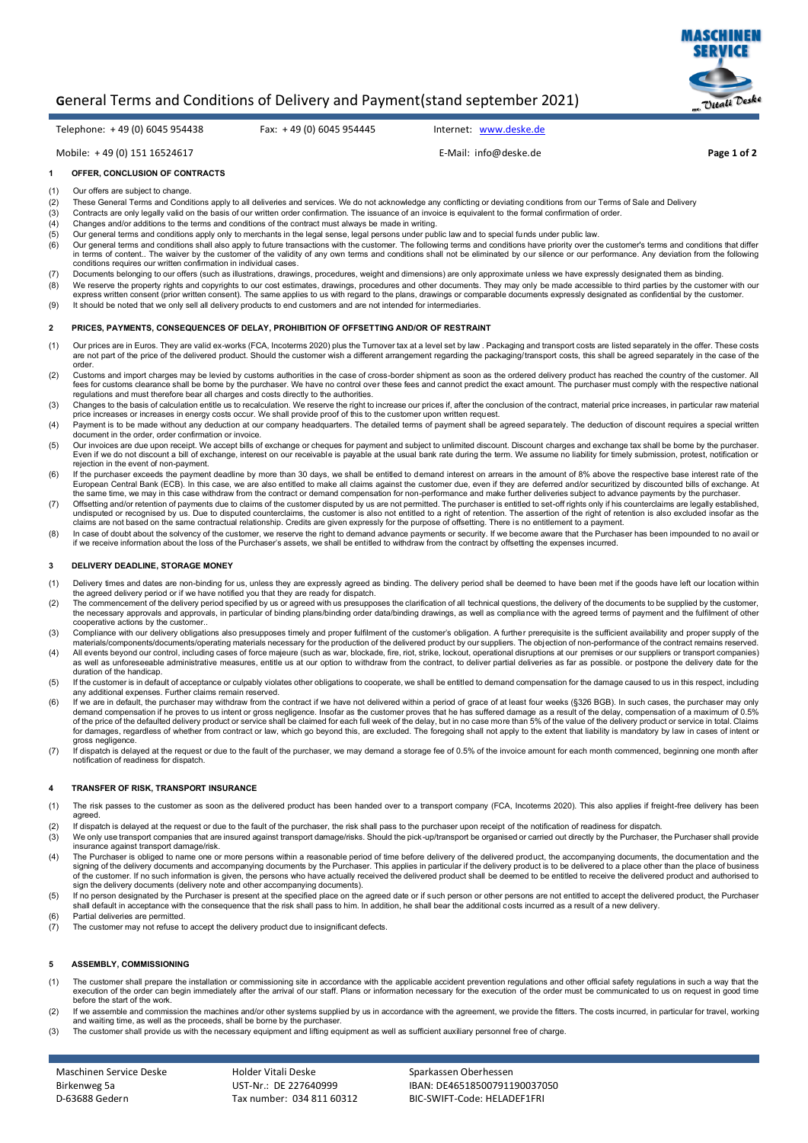

# **G**eneral Terms and Conditions of Delivery and Payment(stand september 2021)

Telephone: + 49 (0) 6045 954438 Fax: + 49 (0) 6045 954445 Internet: [www.deske.de](http://www.deske.de/)

Mobile: + 49 (0) 151 16524617 E-Mail: [info@deske.de](mailto:info@deske.de) **Page 1 of 2**

## **1 OFFER, CONCLUSION OF CONTRACTS**

- (1) Our offers are subject to change<br>(2) These General Terms and Cond
- (2) These General Terms and Conditions apply to all deliveries and services. We do not acknowledge any conflicting or deviating conditions from our Terms of Sale and Delivery<br>(3) Contracts are only legally valid on the bas
- Contracts are only legally valid on the basis of our written order confirmation. The issuance of an invoice is equivalent to the formal confirmation of order.
- (4) Changes and/or additions to the terms and conditions of the contract must always be made in writing.
- (5) Our general terms and conditions apply only to merchants in the legal sense, legal persons under public law and to special funds under public law.
- (6) Our general terms and conditions shall also apply to future transactions with the customer. The following terms and conditions have priority over the customer's terms and conditions that different and conditions that d in terms of content.. The waiver by the customer of the validity of any own terms and conditions shall not be eliminated by our silence or our performance. Any deviation from the following<br>conditions requires our written c
- (7) Documents belonging to our offers (such as illustrations, drawings, procedures, weight and dimensions) are only approximate unless we have expressly designated them as binding.
- (8) We reserve the property rights and copyrights to our cost estimates, drawings, procedures and other documents. They may only be made accessible to third parties by the customer with our<br>express written consent (prior w
- (9) It should be noted that we only sell all delivery products to end customers and are not intended for intermediaries.

### **2 PRICES, PAYMENTS, CONSEQUENCES OF DELAY, PROHIBITION OF OFFSETTING AND/OR OF RESTRAINT**

- 1) Our prices are in Euros. They are valid ex-works (FCA, Incoterms 2020) plus the Turnover tax at a level set by law . Packaging and transport costs are listed separately in the offer. These costs<br>are not part of the pric order.
- (2) Customs and import charges may be levied by customs authorities in the case of cross-border shipment as soon as the ordered delivery product has reached the country of the customer. All<br>fees for customs clearance shall regulations and must therefore bear all charges and costs directly to the authorities.
- (3) Changes to the basis of calculation entitle us to recalculation. We reserve the right to increase our prices if, after the conclusion of the contract, material price increases, in particular raw material price increases or increases in energy costs occur. We shall provide proof of this to the customer upon written request.<br>(4) Payment is to be made without any deduction at our company headquarters. The detailed terms of pa
- document in the order, order confirmation or invoice.
- (5) Our invoices are due upon receipt. We accept bills of exchange or cheques for payment and subject to unlimited discount. Discount Charges and exchange tax shall be borne by the purchaser.<br>Even if we do not discount a b rejection in the event of non-payment.
- 6) If the purchaser exceeds the payment deadline by more than 30 days, we shall be entitled to demand interest on arrears in the amount of 8% above the respective base interest rate of the<br>European Central Bank (ECB). In t the same time, we may in this case withdraw from the contract or demand compensation for non-performance and make further deliveries subject to advance payments by the purchaser.
- (7) Offsetting and/or retention of payments due to claims of the customer disputed by us are not permitted. The purchaser is entitled to set-off rights only if his counterclaims are legally established, undisputed or recognised by us. Due to disputed counterclaims, the customer is also not entitled to a right of retention. The assertion of the right of retention is also excluded insofar as the<br>claims are not based on the
- (8) In case of doubt about the solvency of the customer, we reserve the right to demand advance payments or security. If we become aware that the Purchaser has been impounded to no avail or if we receive information about the loss of the Purchaser's assets, we shall be entitled to withdraw from the contract by offsetting the expenses incurred.

#### **3 DELIVERY DEADLINE, STORAGE MONEY**

- (1) Delivery times and dates are non-binding for us, unless they are expressly agreed as binding. The delivery period shall be deemed to have been met if the goods have left our location within the agreed delivery period or if we have notified you that they are ready for dispatch.
- (2) The commencement of the delivery period specified by us or agreed with us presupposes the clarification of all technical questions, the delivery of the documents to be supplied by the customer,<br>the necessary approvals
- (3) Compliance with our delivery obligations also presupposes timely and proper fulfilment of the customer's obligation. A further prerequisite is the sufficient availability and proper supply of the materials/components/documents/operating materials necessary for the production of the delivered product by our suppliers. The objection of non-performance of the contract remains reserved.
- (4) All events beyond our control, including cases of force majeure (such as war, blockade, fire, riot, strike, lockout, operational disruptions at our premises or our suppliers or transport companies)<br>as well as unforesee duration of the handicap.
- (5) If the customer is in default of acceptance or culpably violates other obligations to cooperate, we shall be entitled to demand compensation for the damage caused to us in this respect, including any additional expenses. Further claims remain reserved.
- (6) If we are in default, the purchaser may withdraw from the contract if we have not delivered within a period of grace of at least four weeks (§326 BGB). In such cases, the purchaser may only demand compensation if he proves to us intent or gross negligence. Insofar as the customer proves that he has suffered damage as a result of the delay, compensation of a maximum of 0.5%<br>of the price of the defaulted delive gross negligence.
- (7) If dispatch is delayed at the request or due to the fault of the purchaser, we may demand a storage fee of 0.5% of the invoice amount for each month commenced, beginning one month after notification of readiness for dispatch.

#### **4 TRANSFER OF RISK, TRANSPORT INSURANCE**

- (1) The risk passes to the customer as soon as the delivered product has been handed over to a transport company (FCA, Incoterms 2020). This also applies if freight-free delivery has been agreed
- (2) If dispatch is delayed at the request or due to the fault of the purchaser, the risk shall pass to the purchaser upon receipt of the notification of readiness for dispatch.
- (3) We only use transport companies that are insured against transport damage/risks. Should the pick-up/transport be organised or carried out directly by the Purchaser, the Purchaser shall provide insurance against transport damage/risk.
- 4) The Purchaser is obliged to name one or more persons within a reasonable period of time before delivery of the delivered product, the accompanying documents, the documentation and the<br>signing of the delivery documents a sign the delivery documents (delivery note and other accompanying documents).
- (5) If no person designated by the Purchaser is present at the specified place on the agreed date or if such person or other persons are not entitled to accept the delivered product, the Purchaser shall default in acceptance with the consequence that the risk shall pass to him. In addition, he shall bear the additional costs incurred as a result of a new delivery.
- (6) Partial deliveries are permitted.
- $\overrightarrow{7}$  The customer may not refuse to accept the delivery product due to insignificant defects.

### **5 ASSEMBLY, COMMISSIONING**

- (1) The customer shall prepare the installation or commissioning site in accordance with the applicable accident prevention regulations and other official safety regulations in such a way that the<br>execution of the order ca before the start of the work.
- (2) If we assemble and commission the machines and/or other systems supplied by us in accordance with the agreement, we provide the fitters. The costs incurred, in particular for travel, working<br>and waiting time, as well a
- (3) The customer shall provide us with the necessary equipment and lifting equipment as well as sufficient auxiliary personnel free of charge.

Maschinen Service Deske Birkenweg 5a D-63688 Gedern

Holder Vitali Deske UST-Nr.: DE 227640999 Tax number: 034 811 60312 Sparkassen Oberhessen IBAN: DE46518500791190037050 BIC-SWIFT-Code: HELADEF1FRI